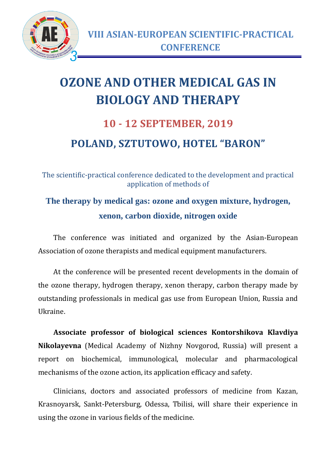

## **OZONE AND OTHER MEDICAL GAS IN BIOLOGY AND THERAPY**

## **10 - 12 SEPTEMBER, 2019 POLAND, SZTUTOWO, HOTEL "BARON"**

The scientific-practical conference dedicated to the development and practical application of methods of

## **The therapy by medical gas: ozone and oxygen mixture, hydrogen, xenon, carbon dioxide, nitrogen oxide**

The conference was initiated and organized by the Asian-European Association of ozone therapists and medical equipment manufacturers.

At the conference will be presented recent developments in the domain of the ozone therapy, hydrogen therapy, xenon therapy, carbon therapy made by outstanding professionals in medical gas use from European Union, Russia and Ukraine.

**Associate professor of biological sciences Kontorshikova Klavdiya Nikolayevna** (Medical Academy of Nizhny Novgorod, Russia) will present a report on biochemical, immunological, molecular and pharmacological mechanisms of the ozone action, its application efficacy and safety.

Clinicians, doctors and associated professors of medicine from Kazan, Krasnoyarsk, Sankt-Petersburg, Odessa, Tbilisi, will share their experience in using the ozone in various fields of the medicine.